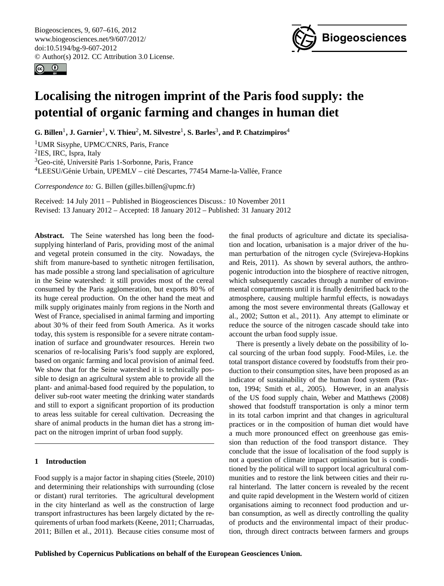<span id="page-0-0"></span>Biogeosciences, 9, 607–616, 2012 www.biogeosciences.net/9/607/2012/ doi:10.5194/bg-9-607-2012 © Author(s) 2012. CC Attribution 3.0 License.





# **Localising the nitrogen imprint of the Paris food supply: the potential of organic farming and changes in human diet**

 $\,$  **G.** Billen $^{1}$ , J. Garnier $^{1}$ , V. Thieu $^{2}$ , M. Silvestre $^{1}$ , S. Barles $^{3}$ , and P. Chatzimpiros $^{4}$ 

UMR Sisyphe, UPMC/CNRS, Paris, France <sup>2</sup>IES, IRC, Ispra, Italy Geo-cité, Université Paris 1-Sorbonne, Paris, France LEESU/Génie Urbain, UPEMLV – cité Descartes, 77454 Marne-la-Vallée, France

*Correspondence to:* G. Billen (gilles.billen@upmc.fr)

Received: 14 July 2011 – Published in Biogeosciences Discuss.: 10 November 2011 Revised: 13 January 2012 – Accepted: 18 January 2012 – Published: 31 January 2012

**Abstract.** The Seine watershed has long been the foodsupplying hinterland of Paris, providing most of the animal and vegetal protein consumed in the city. Nowadays, the shift from manure-based to synthetic nitrogen fertilisation, has made possible a strong land specialisation of agriculture in the Seine watershed: it still provides most of the cereal consumed by the Paris agglomeration, but exports 80 % of its huge cereal production. On the other hand the meat and milk supply originates mainly from regions in the North and West of France, specialised in animal farming and importing about 30 % of their feed from South America. As it works today, this system is responsible for a severe nitrate contamination of surface and groundwater resources. Herein two scenarios of re-localising Paris's food supply are explored, based on organic farming and local provision of animal feed. We show that for the Seine watershed it is technically possible to design an agricultural system able to provide all the plant- and animal-based food required by the population, to deliver sub-root water meeting the drinking water standards and still to export a significant proportion of its production to areas less suitable for cereal cultivation. Decreasing the share of animal products in the human diet has a strong impact on the nitrogen imprint of urban food supply.

# **1 Introduction**

Food supply is a major factor in shaping cities (Steele, 2010) and determining their relationships with surrounding (close or distant) rural territories. The agricultural development in the city hinterland as well as the construction of large transport infrastructures has been largely dictated by the requirements of urban food markets (Keene, 2011; Charruadas, 2011; Billen et al., 2011). Because cities consume most of the final products of agriculture and dictate its specialisation and location, urbanisation is a major driver of the human perturbation of the nitrogen cycle (Svirejeva-Hopkins and Reis, 2011). As shown by several authors, the anthropogenic introduction into the biosphere of reactive nitrogen, which subsequently cascades through a number of environmental compartments until it is finally denitrified back to the atmosphere, causing multiple harmful effects, is nowadays among the most severe environmental threats (Galloway et al., 2002; Sutton et al., 2011). Any attempt to eliminate or reduce the source of the nitrogen cascade should take into account the urban food supply issue.

There is presently a lively debate on the possibility of local sourcing of the urban food supply. Food-Miles, i.e. the total transport distance covered by foodstuffs from their production to their consumption sites, have been proposed as an indicator of sustainability of the human food system (Paxton, 1994; Smith et al., 2005). However, in an analysis of the US food supply chain, Weber and Matthews (2008) showed that foodstuff transportation is only a minor term in its total carbon imprint and that changes in agricultural practices or in the composition of human diet would have a much more pronounced effect on greenhouse gas emission than reduction of the food transport distance. They conclude that the issue of localisation of the food supply is not a question of climate impact optimisation but is conditioned by the political will to support local agricultural communities and to restore the link between cities and their rural hinterland. The latter concern is revealed by the recent and quite rapid development in the Western world of citizen organisations aiming to reconnect food production and urban consumption, as well as directly controlling the quality of products and the environmental impact of their production, through direct contracts between farmers and groups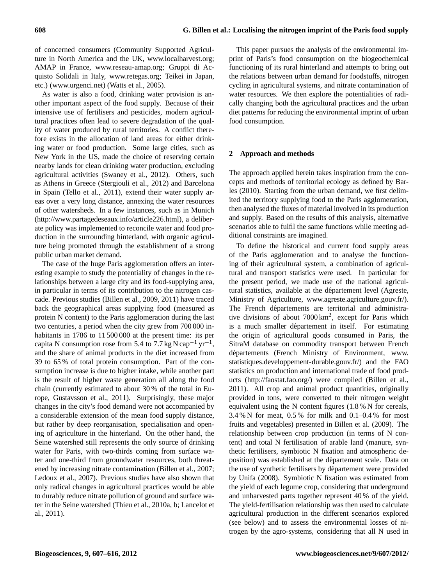of concerned consumers (Community Supported Agriculture in North America and the UK, [www.localharvest.org;](www.localharvest.org) AMAP in France, [www.reseau-amap.org;](www.reseau-amap.org) Gruppi di Acquisto Solidali in Italy, [www.retegas.org;](www.retegas.org) Teikei in Japan, etc.) [\(www.urgenci.net\)](www.urgenci.net) (Watts et al., 2005).

As water is also a food, drinking water provision is another important aspect of the food supply. Because of their intensive use of fertilisers and pesticides, modern agricultural practices often lead to severe degradation of the quality of water produced by rural territories. A conflict therefore exists in the allocation of land areas for either drinking water or food production. Some large cities, such as New York in the US, made the choice of reserving certain nearby lands for clean drinking water production, excluding agricultural activities (Swaney et al., 2012). Others, such as Athens in Greece (Stergiouli et al., 2012) and Barcelona in Spain (Tello et al., 2011), extend their water supply areas over a very long distance, annexing the water resources of other watersheds. In a few instances, such as in Munich [\(http://www.partagedeseaux.info/article226.html\)](http://www.partagedeseaux.info/article226.html), a deliberate policy was implemented to reconcile water and food production in the surrounding hinterland, with organic agriculture being promoted through the establishment of a strong public urban market demand.

The case of the huge Paris agglomeration offers an interesting example to study the potentiality of changes in the relationships between a large city and its food-supplying area, in particular in terms of its contribution to the nitrogen cascade. Previous studies (Billen et al., 2009, 2011) have traced back the geographical areas supplying food (measured as protein N content) to the Paris agglomeration during the last two centuries, a period when the city grew from 700 000 inhabitants in 1786 to 11500000 at the present time: its per capita N consumption rose from 5.4 to 7.7 kg N cap<sup>-1</sup> yr<sup>-1</sup>, and the share of animal products in the diet increased from 39 to 65 % of total protein consumption. Part of the consumption increase is due to higher intake, while another part is the result of higher waste generation all along the food chain (currently estimated to about 30 % of the total in Europe, Gustavsson et al., 2011). Surprisingly, these major changes in the city's food demand were not accompanied by a considerable extension of the mean food supply distance, but rather by deep reorganisation, specialisation and opening of agriculture in the hinterland. On the other hand, the Seine watershed still represents the only source of drinking water for Paris, with two-thirds coming from surface water and one-third from groundwater resources, both threatened by increasing nitrate contamination (Billen et al., 2007; Ledoux et al., 2007). Previous studies have also shown that only radical changes in agricultural practices would be able to durably reduce nitrate pollution of ground and surface water in the Seine watershed (Thieu et al., 2010a, b; Lancelot et al., 2011).

This paper pursues the analysis of the environmental imprint of Paris's food consumption on the biogeochemical functioning of its rural hinterland and attempts to bring out the relations between urban demand for foodstuffs, nitrogen cycling in agricultural systems, and nitrate contamination of water resources. We then explore the potentialities of radically changing both the agricultural practices and the urban diet patterns for reducing the environmental imprint of urban food consumption.

### **2 Approach and methods**

The approach applied herein takes inspiration from the concepts and methods of territorial ecology as defined by Barles (2010). Starting from the urban demand, we first delimited the territory supplying food to the Paris agglomeration, then analysed the fluxes of material involved in its production and supply. Based on the results of this analysis, alternative scenarios able to fulfil the same functions while meeting additional constraints are imagined.

To define the historical and current food supply areas of the Paris agglomeration and to analyse the functioning of their agricultural system, a combination of agricultural and transport statistics were used. In particular for the present period, we made use of the national agricultural statistics, available at the departement level (Agreste, ´ Ministry of Agriculture, [www.agreste.agriculture.gouv.fr/\)](www.agreste.agriculture.gouv.fr/). The French départements are territorial and administrative divisions of about  $7000 \text{ km}^2$ , except for Paris which is a much smaller département in itself. For estimating the origin of agricultural goods consumed in Paris, the SitraM database on commodity transport between French départements (French Ministry of Environment, [www.](www.statistiques.developpement-durable.gouv.fr/) [statistiques.developpement-durable.gouv.fr/\)](www.statistiques.developpement-durable.gouv.fr/) and the FAO statistics on production and international trade of food products [\(http://faostat.fao.org/\)](http://faostat.fao.org/) were compiled (Billen et al., 2011). All crop and animal product quantities, originally provided in tons, were converted to their nitrogen weight equivalent using the N content figures (1.8 % N for cereals, 3.4 % N for meat, 0.5 % for milk and 0.1–0.4 % for most fruits and vegetables) presented in Billen et al. (2009). The relationship between crop production (in terms of N content) and total N fertilisation of arable land (manure, synthetic fertilisers, symbiotic N fixation and atmospheric deposition) was established at the département scale. Data on the use of synthetic fertilisers by département were provided by Unifa (2008). Symbiotic N fixation was estimated from the yield of each legume crop, considering that underground and unharvested parts together represent 40 % of the yield. The yield-fertilisation relationship was then used to calculate agricultural production in the different scenarios explored (see below) and to assess the environmental losses of nitrogen by the agro-systems, considering that all N used in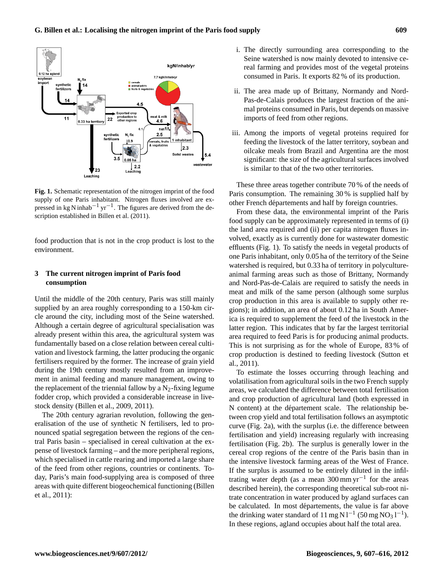

**Fig. 1.** Schematic representation of the nitrogen imprint of the food supply of one Paris inhabitant. Nitrogen fluxes involved are expressed in kg N inhab<sup>-1</sup> yr<sup>-1</sup>. The figures are derived from the description established in Billen et al. (2011).

food production that is not in the crop product is lost to the environment.

# **3 The current nitrogen imprint of Paris food consumption**

Until the middle of the 20th century, Paris was still mainly supplied by an area roughly corresponding to a 150-km circle around the city, including most of the Seine watershed. Although a certain degree of agricultural specialisation was already present within this area, the agricultural system was fundamentally based on a close relation between cereal cultivation and livestock farming, the latter producing the organic fertilisers required by the former. The increase of grain yield during the 19th century mostly resulted from an improvement in animal feeding and manure management, owing to the replacement of the triennial fallow by a  $N_2$ -fixing legume fodder crop, which provided a considerable increase in livestock density (Billen et al., 2009, 2011).

The 20th century agrarian revolution, following the generalisation of the use of synthetic N fertilisers, led to pronounced spatial segregation between the regions of the central Paris basin – specialised in cereal cultivation at the expense of livestock farming – and the more peripheral regions, which specialised in cattle rearing and imported a large share of the feed from other regions, countries or continents. Today, Paris's main food-supplying area is composed of three areas with quite different biogeochemical functioning (Billen et al., 2011):

- i. The directly surrounding area corresponding to the Seine watershed is now mainly devoted to intensive cereal farming and provides most of the vegetal proteins consumed in Paris. It exports 82 % of its production.
- ii. The area made up of Brittany, Normandy and Nord-Pas-de-Calais produces the largest fraction of the animal proteins consumed in Paris, but depends on massive imports of feed from other regions.
- iii. Among the imports of vegetal proteins required for feeding the livestock of the latter territory, soybean and oilcake meals from Brazil and Argentina are the most significant: the size of the agricultural surfaces involved is similar to that of the two other territories.

These three areas together contribute 70 % of the needs of Paris consumption. The remaining 30 % is supplied half by other French départements and half by foreign countries.

From these data, the environmental imprint of the Paris food supply can be approximately represented in terms of (i) the land area required and (ii) per capita nitrogen fluxes involved, exactly as is currently done for wastewater domestic effluents (Fig. 1). To satisfy the needs in vegetal products of one Paris inhabitant, only 0.05 ha of the territory of the Seine watershed is required, but 0.33 ha of territory in polycultureanimal farming areas such as those of Brittany, Normandy and Nord-Pas-de-Calais are required to satisfy the needs in meat and milk of the same person (although some surplus crop production in this area is available to supply other regions); in addition, an area of about 0.12 ha in South America is required to supplement the feed of the livestock in the latter region. This indicates that by far the largest territorial area required to feed Paris is for producing animal products. This is not surprising as for the whole of Europe, 83 % of crop production is destined to feeding livestock (Sutton et al., 2011).

To estimate the losses occurring through leaching and volatilisation from agricultural soils in the two French supply areas, we calculated the difference between total fertilisation and crop production of agricultural land (both expressed in N content) at the département scale. The relationship between crop yield and total fertilisation follows an asymptotic curve (Fig. 2a), with the surplus (i.e. the difference between fertilisation and yield) increasing regularly with increasing fertilisation (Fig. 2b). The surplus is generally lower in the cereal crop regions of the centre of the Paris basin than in the intensive livestock farming areas of the West of France. If the surplus is assumed to be entirely diluted in the infiltrating water depth (as a mean  $300 \text{ mm yr}^{-1}$  for the areas described herein), the corresponding theoretical sub-root nitrate concentration in water produced by agland surfaces can be calculated. In most départements, the value is far above the drinking water standard of 11 mg N l<sup>-1</sup> (50 mg NO<sub>3</sub> l<sup>-1</sup>). In these regions, agland occupies about half the total area.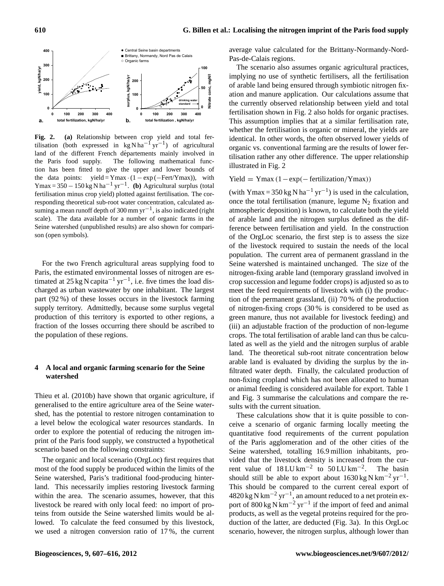

**Fig. 2. (a)** Relationship between crop yield and total fertilisation (both expressed in kg N ha<sup>-1</sup> yr<sup>-1</sup>) of agricultural land of the different French départements mainly involved in the Paris food supply. The following mathematical function has been fitted to give the upper and lower bounds of the data points: yield = Ymax  $\cdot$  (1 – exp (–Fert/Ymax)), with Ymax =  $350 - 150$  kg N ha<sup>-1</sup> yr<sup>-1</sup>. (b) Agricultural surplus (total fertilisation minus crop yield) plotted against fertilisation. The corresponding theoretical sub-root water concentration, calculated assuming a mean runoff depth of 300 mm yr<sup>-1</sup>, is also indicated (right scale). The data available for a number of organic farms in the Seine watershed (unpublished results) are also shown for comparison (open symbols).

For the two French agricultural areas supplying food to Paris, the estimated environmental losses of nitrogen are estimated at 25 kg N capita<sup>-1</sup> yr<sup>-1</sup>, i.e. five times the load discharged as urban wastewater by one inhabitant. The largest part (92 %) of these losses occurs in the livestock farming supply territory. Admittedly, because some surplus vegetal production of this territory is exported to other regions, a fraction of the losses occurring there should be ascribed to the population of these regions.

# **4 A local and organic farming scenario for the Seine watershed**

Thieu et al. (2010b) have shown that organic agriculture, if generalised to the entire agriculture area of the Seine watershed, has the potential to restore nitrogen contamination to a level below the ecological water resources standards. In order to explore the potential of reducing the nitrogen imprint of the Paris food supply, we constructed a hypothetical scenario based on the following constraints:

The organic and local scenario (OrgLoc) first requires that most of the food supply be produced within the limits of the Seine watershed, Paris's traditional food-producing hinterland. This necessarily implies restoring livestock farming within the area. The scenario assumes, however, that this livestock be reared with only local feed: no import of proteins from outside the Seine watershed limits would be allowed. To calculate the feed consumed by this livestock, we used a nitrogen conversion ratio of 17 %, the current average value calculated for the Brittany-Normandy-Nord-Pas-de-Calais regions.

The scenario also assumes organic agricultural practices, implying no use of synthetic fertilisers, all the fertilisation of arable land being ensured through symbiotic nitrogen fixation and manure application. Our calculations assume that the currently observed relationship between yield and total fertilisation shown in Fig. 2 also holds for organic practises. This assumption implies that at a similar fertilisation rate, whether the fertilisation is organic or mineral, the yields are identical. In other words, the often observed lower yields of organic vs. conventional farming are the results of lower fertilisation rather any other difference. The upper relationship illustrated in Fig. 2

 $Yield = Ymax(1-exp(-fertilization/Ymax))$ 

(with Ymax = 350 kg N ha<sup>-1</sup> yr<sup>-1</sup>) is used in the calculation, once the total fertilisation (manure, legume  $N_2$  fixation and atmospheric deposition) is known, to calculate both the yield of arable land and the nitrogen surplus defined as the difference between fertilisation and yield. In the construction of the OrgLoc scenario, the first step is to assess the size of the livestock required to sustain the needs of the local population. The current area of permanent grassland in the Seine watershed is maintained unchanged. The size of the nitrogen-fixing arable land (temporary grassland involved in crop succession and legume fodder crops) is adjusted so as to meet the feed requirements of livestock with (i) the production of the permanent grassland, (ii) 70 % of the production of nitrogen-fixing crops (30 % is considered to be used as green manure, thus not available for livestock feeding) and (iii) an adjustable fraction of the production of non-legume crops. The total fertilisation of arable land can thus be calculated as well as the yield and the nitrogen surplus of arable land. The theoretical sub-root nitrate concentration below arable land is evaluated by dividing the surplus by the infiltrated water depth. Finally, the calculated production of non-fixing cropland which has not been allocated to human or animal feeding is considered available for export. Table 1 and Fig. 3 summarise the calculations and compare the results with the current situation.

These calculations show that it is quite possible to conceive a scenario of organic farming locally meeting the quantitative food requirements of the current population of the Paris agglomeration and of the other cities of the Seine watershed, totalling 16.9 million inhabitants, provided that the livestock density is increased from the current value of  $18 \text{LU}\,\text{km}^{-2}$  to  $50 \text{LU}\,\text{km}^{-2}$ . The basin should still be able to export about  $1630 \text{ kg N km}^{-2} \text{ yr}^{-1}$ . This should be compared to the current cereal export of  $4820 \text{ kg N km}^{-2} \text{ yr}^{-1}$ , an amount reduced to a net protein export of 800 kg N km−<sup>2</sup> yr−<sup>1</sup> if the import of feed and animal products, as well as the vegetal proteins required for the production of the latter, are deducted (Fig. 3a). In this OrgLoc scenario, however, the nitrogen surplus, although lower than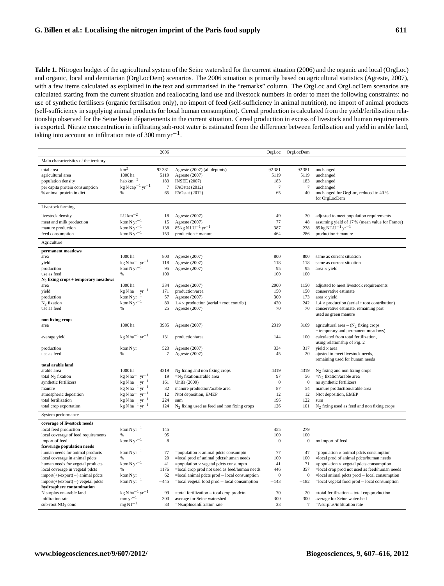**Table 1.** Nitrogen budget of the agricultural system of the Seine watershed for the current situation (2006) and the organic and local (OrgLoc) and organic, local and demitarian (OrgLocDem) scenarios. The 2006 situation is primarily based on agricultural statistics (Agreste, 2007), with a few items calculated as explained in the text and summarised in the "remarks" column. The OrgLoc and OrgLocDem scenarios are calculated starting from the current situation and reallocating land use and livestock numbers in order to meet the following constraints: no use of synthetic fertilisers (organic fertilisation only), no import of feed (self-sufficiency in animal nutrition), no import of animal products (self-sufficiency in supplying animal products for local human consumption). Cereal production is calculated from the yield/fertilisation relationship observed for the Seine basin departements in the current situation. Cereal production in excess of livestock and human requirements ´ is exported. Nitrate concentration in infiltrating sub-root water is estimated from the difference between fertilisation and yield in arable land, taking into account an infiltration rate of 300 mm  $\text{yr}^{-1}$ .

|                                                                   |                                                     | 2006           |                                                                 | OrgLoc         | OrgLocDem        |                                                                                             |
|-------------------------------------------------------------------|-----------------------------------------------------|----------------|-----------------------------------------------------------------|----------------|------------------|---------------------------------------------------------------------------------------------|
| Main characteristics of the territory                             |                                                     |                |                                                                 |                |                  |                                                                                             |
| total area<br>agricultural area                                   | km <sup>2</sup><br>1000 ha                          | 92381<br>5119  | Agreste (2007) (all déptmts)<br>Agreste $(2007)$                | 92381<br>5119  | 92381<br>5119    | unchanged<br>unchanged                                                                      |
| population density                                                | hab $km^{-2}$                                       | 183            | <b>INSEE</b> (2007)                                             | 183            | 183              | unchanged                                                                                   |
| per capita protein consumption                                    | $kg$ N cap <sup>-1</sup> yr <sup>-1</sup>           | $\overline{7}$ | FAOstat (2012)                                                  | $\overline{7}$ | $\tau$           | unchanged                                                                                   |
| % animal protein in diet                                          | %                                                   | 65             | FAOstat (2012)                                                  | 65             | 40               | unchanged for OrgLoc, reduced to 40 %<br>for OrgLocDem                                      |
| Livestock farming                                                 |                                                     |                |                                                                 |                |                  |                                                                                             |
| livestock density                                                 | $LU$ km <sup><math>-2</math></sup>                  | 18             | Agreste (2007)                                                  | 49             | 30               | adjusted to meet population requirements                                                    |
| meat and milk production                                          | kton N yr $^{-1}$                                   | 15             | Agreste (2007)                                                  | 77             | 48               | assuming yield of 17% (mean value for France)                                               |
| manure production                                                 | kton N yr $^{-1}$                                   | 138            | $85 \text{ kg} \text{N} \text{L} \text{U}^{-1} \text{ yr}^{-1}$ | 387            | 238              | $85 \text{ kg} \text{ N} \text{ L} \text{U}^{-1} \text{ yr}^{-1}$                           |
| feed consumption                                                  | kton N yr $^{-1}$                                   | 153            | production + manure                                             | 464            | 286              | production + manure                                                                         |
| Agriculture                                                       |                                                     |                |                                                                 |                |                  |                                                                                             |
| permanent meadows                                                 |                                                     |                |                                                                 |                |                  |                                                                                             |
| area                                                              | 1000 ha<br>$kg$ N ha <sup>-1</sup> yr <sup>-1</sup> | 800            | Agreste (2007)                                                  | 800            | 800              | same as current situation                                                                   |
| yield                                                             | kton N yr $^{-1}$                                   | 118            | Agreste (2007)                                                  | 118<br>95      | 118              | same as current situation                                                                   |
| production<br>use as feed                                         | $\%$                                                | 95<br>100      | Agreste (2007)                                                  | 100            | 95<br>100        | $area \times yield$                                                                         |
| $N_2$ fixing crops + temporary meadows                            |                                                     |                |                                                                 |                |                  |                                                                                             |
| area                                                              | 1000 ha                                             | 334            | Agreste (2007)                                                  | 2000           | 1150             | adjusted to meet livestock requirements                                                     |
| yield                                                             | $kg$ N ha <sup>-1</sup> yr <sup>-1</sup>            | 171            | production/area                                                 | 150            | 150              | conservative estimate                                                                       |
| production                                                        | kton N yr <sup>-1</sup>                             | 57             | Agreste (2007)                                                  | 300            | 173              | $area \times yield$                                                                         |
| $N_2$ fixation                                                    | kton N yr $^{-1}$                                   | 80             | $1.4 \times$ production (aerial + root contrib.)                | 420            | 242              | $1.4 \times$ production (aerial + root contribution)                                        |
| use as feed                                                       | %                                                   | 25             | Agreste (2007)                                                  | 70             | 70               | conservative estimate, remaining part                                                       |
| non fixing crops                                                  |                                                     |                |                                                                 |                |                  | used as green manure                                                                        |
| area                                                              | 1000 ha                                             | 3985           | Agreste (2007)                                                  | 2319           | 3169             | agricultural area $-(N_2)$ fixing crops                                                     |
|                                                                   |                                                     |                |                                                                 |                |                  | + temporary and permanent meadows)                                                          |
| average yield                                                     | $kg$ N ha <sup>-1</sup> yr <sup>-1</sup>            | 131            | production/area                                                 | 144            | 100              | calculated from total fertilization,<br>using relationship of Fig. 2                        |
| production                                                        | kton N yr $^{-1}$                                   | 523            | Agreste (2007)                                                  | 334            | 317              | yield $\times$ area                                                                         |
| use as feed                                                       |                                                     | $\overline{7}$ | Agreste (2007)                                                  | 45             | 20               | ajusted to meet livestock needs,                                                            |
| total arable land                                                 |                                                     |                |                                                                 |                |                  | remaining used for human needs                                                              |
| arable area                                                       | 1000 ha                                             | 4319           | $N_2$ fixing and non fixing crops                               | 4319           | 4319             | $N_2$ fixing and non fixing crops                                                           |
| total $N_2$ fixation                                              | $kg$ N ha <sup>-1</sup> yr <sup>-1</sup>            | 19             | $=N_2$ fixation/arable area                                     | 97             | 56               | $=N_2$ fixation/arable area                                                                 |
| synthetic fertilizers                                             | $kg$ N ha <sup>-1</sup> yr <sup>-1</sup>            | 161            | Unifa (2009)                                                    | $\mathbf{0}$   | $\boldsymbol{0}$ | no synthetic fertilizers                                                                    |
| manure                                                            | $kg$ N ha <sup>-1</sup> yr <sup>-1</sup>            | 32             | manure production/arable area                                   | 87             | 54               | manure production/arable area                                                               |
| atmospheric deposition                                            | $kg$ N ha <sup>-1</sup> yr <sup>-1</sup>            | 12             | Ntot deposition, EMEP                                           | 12             | 12               | Ntot deposition, EMEP                                                                       |
| total fertilization                                               | $kg$ N ha <sup>-1</sup> yr <sup>-1</sup>            | 224            | sum                                                             | 196            | 122              | sum                                                                                         |
| total crop exportation                                            | $kg$ N ha <sup>-1</sup> yr <sup>-1</sup>            | 124            | $N2$ fixing used as feed and non fixing crops                   | 126            | 101              | $N2$ fixing used as feed and non fixing crops                                               |
| System performance                                                |                                                     |                |                                                                 |                |                  |                                                                                             |
| coverage of livestock needs                                       |                                                     |                |                                                                 |                |                  |                                                                                             |
| local feed production                                             | kton N yr $^{-1}$                                   | 145            |                                                                 | 455            | 279              |                                                                                             |
| local coverage of feed requirements                               | %                                                   | 95             |                                                                 | 100            | 100              |                                                                                             |
| import of feed                                                    | kton N $\rm{yr}^{-1}$                               | 8              |                                                                 | $\mathbf{0}$   | $\mathbf{0}$     | no import of feed                                                                           |
| fcoverage population needs                                        | kton N yr $^{-1}$                                   | 77             | $=$ population $\times$ animal pdcts consumptn                  | 77             | 47               |                                                                                             |
| human needs for animal products<br>local coverage in animal pdcts | %                                                   | 20             | =local prod of animal pdcts/human needs                         | 100            | 100              | $=$ population $\times$ animal pdcts consumption<br>=local prod of animal pdcts/human needs |
| human needs for vegetal products                                  | kton N yr $^{-1}$                                   | 41             | $=$ population $\times$ vegetal pdcts consumptn                 | 41             | 71               | $=$ population $\times$ vegetal pdcts consumption                                           |
| local coverage in vegetal pdcts                                   | %                                                   | 1176           | =local crop prod not used as feed/human needs                   | 446            | 357              | =local crop prod not used as feed/human needs                                               |
| $import(+)/export(-)$ animal pdcts                                | kton N yr $^{-1}$                                   | 62             | =local animal pdcts prod - local consumption                    | $\mathbf{0}$   | $\mathbf{0}$     | =local animal pdcts prod - local consumption                                                |
| $import(+)/export(-)$ vegetal pdcts                               | kton N yr $^{-1}$                                   | $-445$         | =local vegetal food prod - local consumption                    | $-143$         | $-182$           | =local vegetal food prod - local consumption                                                |
| hydrosphere contamination                                         |                                                     |                |                                                                 |                |                  |                                                                                             |
| N surplus on arable land                                          | $kg$ N ha <sup>-1</sup> yr <sup>-1</sup>            | 99             | =total fertilization - total crop prodctn                       | 70             | 20               | =total fertilization - total cop production                                                 |
| infiltration rate                                                 | $mm yr^{-1}$                                        | 300            | average for Seine watershed                                     | 300            | 300              | average for Seine watershed                                                                 |
| sub-root $NO3$ conc                                               | $mgN1^{-1}$                                         | 33             | $=N$ surplus/infiltration rate                                  | 23             | $\tau$           | =Nsurplus/infiltration rate                                                                 |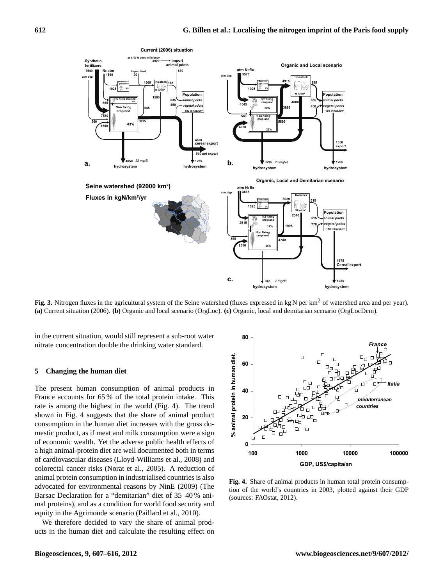

Fig. 3. Nitrogen fluxes in the agricultural system of the Seine watershed (fluxes expressed in kg N per km<sup>2</sup> of watershed area and per year). **(a)** Current situation (2006). **(b)** Organic and local scenario (OrgLoc). **(c)** Organic, local and demitarian scenario (OrgLocDem).

in the current situation, would still represent a sub-root water nitrate concentration double the drinking water standard.

#### **5 Changing the human diet**

The present human consumption of animal products in France accounts for 65 % of the total protein intake. This rate is among the highest in the world (Fig. 4). The trend shown in Fig. 4 suggests that the share of animal product consumption in the human diet increases with the gross domestic product, as if meat and milk consumption were a sign of economic wealth. Yet the adverse public health effects of a high animal-protein diet are well documented both in terms of cardiovascular diseases (Lloyd-Williams et al., 2008) and colorectal cancer risks (Norat et al., 2005). A reduction of animal protein consumption in industrialised countries is also advocated for environmental reasons by NinE (2009) (The Barsac Declaration for a "demitarian" diet of 35–40 % animal proteins), and as a condition for world food security and equity in the Agrimonde scenario (Paillard et al., 2010).

We therefore decided to vary the share of animal products in the human diet and calculate the resulting effect on



**Fig. 4.** Share of animal products in human total protein consumption of the world's countries in 2003, plotted against their GDP (sources: FAOstat, 2012).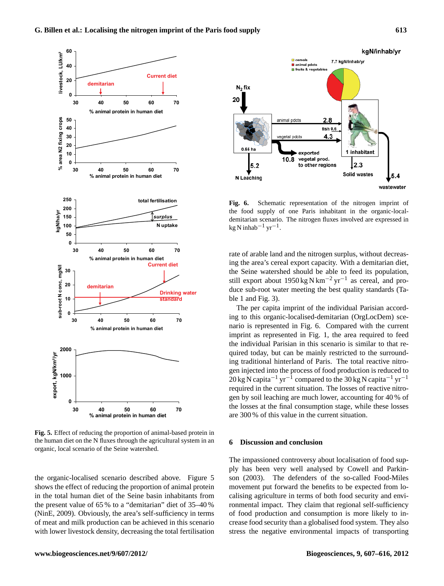

**Fig. 5.** Effect of reducing the proportion of animal-based protein in the human diet on the N fluxes through the agricultural system in an organic, local scenario of the Seine watershed.

the organic-localised scenario described above. Figure 5 shows the effect of reducing the proportion of animal protein in the total human diet of the Seine basin inhabitants from the present value of 65 % to a "demitarian" diet of 35–40 % (NinE, 2009). Obviously, the area's self-sufficiency in terms of meat and milk production can be achieved in this scenario with lower livestock density, decreasing the total fertilisation



**Fig. 6.** Schematic representation of the nitrogen imprint of the food supply of one Paris inhabitant in the organic-localdemitarian scenario. The nitrogen fluxes involved are expressed in  $kg N$  inhab<sup>-1</sup> yr<sup>-1</sup>.

rate of arable land and the nitrogen surplus, without decreasing the area's cereal export capacity. With a demitarian diet, the Seine watershed should be able to feed its population, still export about 1950 kg N km<sup>-2</sup> yr<sup>-1</sup> as cereal, and produce sub-root water meeting the best quality standards (Table 1 and Fig. 3).

The per capita imprint of the individual Parisian according to this organic-localised-demitarian (OrgLocDem) scenario is represented in Fig. 6. Compared with the current imprint as represented in Fig. 1, the area required to feed the individual Parisian in this scenario is similar to that required today, but can be mainly restricted to the surrounding traditional hinterland of Paris. The total reactive nitrogen injected into the process of food production is reduced to 20 kg N capita<sup>-1</sup> yr<sup>-1</sup> compared to the 30 kg N capita<sup>-1</sup> yr<sup>-1</sup> required in the current situation. The losses of reactive nitrogen by soil leaching are much lower, accounting for 40 % of the losses at the final consumption stage, while these losses are 300 % of this value in the current situation.

#### **6 Discussion and conclusion**

The impassioned controversy about localisation of food supply has been very well analysed by Cowell and Parkinson (2003). The defenders of the so-called Food-Miles movement put forward the benefits to be expected from localising agriculture in terms of both food security and environmental impact. They claim that regional self-sufficiency of food production and consumption is more likely to increase food security than a globalised food system. They also stress the negative environmental impacts of transporting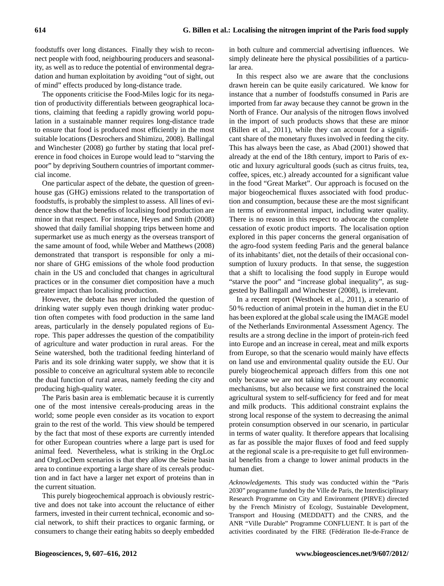foodstuffs over long distances. Finally they wish to reconnect people with food, neighbouring producers and seasonality, as well as to reduce the potential of environmental degradation and human exploitation by avoiding "out of sight, out of mind" effects produced by long-distance trade.

The opponents criticise the Food-Miles logic for its negation of productivity differentials between geographical locations, claiming that feeding a rapidly growing world population in a sustainable manner requires long-distance trade to ensure that food is produced most efficiently in the most suitable locations (Desrochers and Shimizu, 2008). Ballingal and Winchester (2008) go further by stating that local preference in food choices in Europe would lead to "starving the poor" by depriving Southern countries of important commercial income.

One particular aspect of the debate, the question of greenhouse gas (GHG) emissions related to the transportation of foodstuffs, is probably the simplest to assess. All lines of evidence show that the benefits of localising food production are minor in that respect. For instance, Heyes and Smith (2008) showed that daily familial shopping trips between home and supermarket use as much energy as the overseas transport of the same amount of food, while Weber and Matthews (2008) demonstrated that transport is responsible for only a minor share of GHG emissions of the whole food production chain in the US and concluded that changes in agricultural practices or in the consumer diet composition have a much greater impact than localising production.

However, the debate has never included the question of drinking water supply even though drinking water production often competes with food production in the same land areas, particularly in the densely populated regions of Europe. This paper addresses the question of the compatibility of agriculture and water production in rural areas. For the Seine watershed, both the traditional feeding hinterland of Paris and its sole drinking water supply, we show that it is possible to conceive an agricultural system able to reconcile the dual function of rural areas, namely feeding the city and producing high-quality water.

The Paris basin area is emblematic because it is currently one of the most intensive cereals-producing areas in the world; some people even consider as its vocation to export grain to the rest of the world. This view should be tempered by the fact that most of these exports are currently intended for other European countries where a large part is used for animal feed. Nevertheless, what is striking in the OrgLoc and OrgLocDem scenarios is that they allow the Seine basin area to continue exporting a large share of its cereals production and in fact have a larger net export of proteins than in the current situation.

This purely biogeochemical approach is obviously restrictive and does not take into account the reluctance of either farmers, invested in their current technical, economic and social network, to shift their practices to organic farming, or consumers to change their eating habits so deeply embedded in both culture and commercial advertising influences. We simply delineate here the physical possibilities of a particular area.

In this respect also we are aware that the conclusions drawn herein can be quite easily caricatured. We know for instance that a number of foodstuffs consumed in Paris are imported from far away because they cannot be grown in the North of France. Our analysis of the nitrogen flows involved in the import of such products shows that these are minor (Billen et al., 2011), while they can account for a significant share of the monetary fluxes involved in feeding the city. This has always been the case, as Abad (2001) showed that already at the end of the 18th century, import to Paris of exotic and luxury agricultural goods (such as citrus fruits, tea, coffee, spices, etc.) already accounted for a significant value in the food "Great Market". Our approach is focused on the major biogeochemical fluxes associated with food production and consumption, because these are the most significant in terms of environmental impact, including water quality. There is no reason in this respect to advocate the complete cessation of exotic product imports. The localisation option explored in this paper concerns the general organisation of the agro-food system feeding Paris and the general balance of its inhabitants' diet, not the details of their occasional consumption of luxury products. In that sense, the suggestion that a shift to localising the food supply in Europe would "starve the poor" and "increase global inequality", as suggested by Ballingall and Winchester (2008), is irrelevant.

In a recent report (Westhoek et al., 2011), a scenario of 50 % reduction of animal protein in the human diet in the EU has been explored at the global scale using the IMAGE model of the Netherlands Environmental Assessment Agency. The results are a strong decline in the import of protein-rich feed into Europe and an increase in cereal, meat and milk exports from Europe, so that the scenario would mainly have effects on land use and environmental quality outside the EU. Our purely biogeochemical approach differs from this one not only because we are not taking into account any economic mechanisms, but also because we first constrained the local agricultural system to self-sufficiency for feed and for meat and milk products. This additional constraint explains the strong local response of the system to decreasing the animal protein consumption observed in our scenario, in particular in terms of water quality. It therefore appears that localising as far as possible the major fluxes of food and feed supply at the regional scale is a pre-requisite to get full environmental benefits from a change to lower animal products in the human diet.

*Acknowledgements.* This study was conducted within the "Paris 2030" programme funded by the Ville de Paris, the Interdisciplinary Research Programme on City and Environment (PIRVE) directed by the French Ministry of Ecology, Sustainable Development, Transport and Housing (MEDDATT) and the CNRS, and the ANR "Ville Durable" Programme CONFLUENT. It is part of the activities coordinated by the FIRE (Fédération Ile-de-France de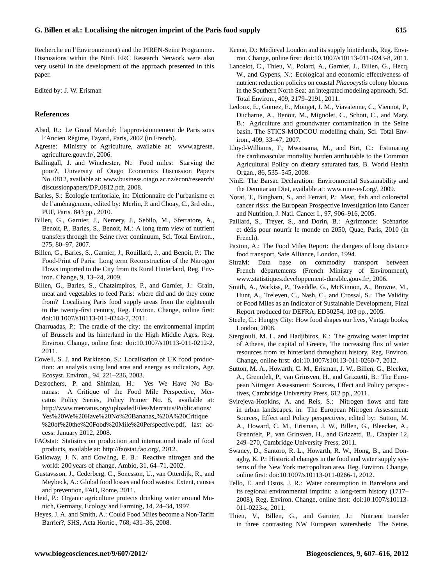Recherche en l'Environnement) and the PIREN-Seine Programme. Discussions within the NinE ERC Research Network were also very useful in the development of the approach presented in this paper.

Edited by: J. W. Erisman

#### **References**

- Abad, R.: Le Grand Marché: l'approvisionnement de Paris sous l'Ancien Régime, Fayard, Paris, 2002 (in French).
- Agreste: Ministry of Agriculture, available at: [www.agreste.](www.agreste.agriculture.gouv.fr/) [agriculture.gouv.fr/,](www.agreste.agriculture.gouv.fr/) 2006.
- Ballingall, J. and Winchester, N.: Food miles: Starving the poor?, University of Otago Economics Discussion Papers No. 0812, available at: [www.business.otago.ac.nz/econ/research/](www.business.otago.ac.nz/econ/research/discussionpapers/DP_0812.pdf) [discussionpapers/DP](www.business.otago.ac.nz/econ/research/discussionpapers/DP_0812.pdf)<sub>-0812.pdf</sub>, 2008.
- Barles, S.: Écologie territoriale, in: Dictionnaire de l'urbanisme et de l'aménagement, edited by: Merlin, P. and Choay, C., 3rd edn., PUF, Paris. 843 pp., 2010.
- Billen, G., Garnier, J., Nemery, J., Sebilo, M., Sferratore, A., Benoit, P., Barles, S., Benoit, M.: A long term view of nutrient transfers through the Seine river continuum, Sci. Total Environ., 275, 80–97, 2007.
- Billen, G., Barles, S., Garnier, J., Rouillard, J., and Benoit, P.: The Food-Print of Paris: Long term Reconstruction of the Nitrogen Flows imported to the City from its Rural Hinterland, Reg. Environ. Change, 9, 13–24, 2009.
- Billen, G., Barles, S., Chatzimpiros, P., and Garnier, J.: Grain, meat and vegetables to feed Paris: where did and do they come from? Localising Paris food supply areas from the eighteenth to the twenty-first century, Reg. Environ. Change, online first: [doi:10.1007/s10113-011-0244-7,](http://dx.doi.org/10.1007/s10113-011-0244-7) 2011.
- Charruadas, P.: The cradle of the city: the environmental imprint of Brussels and its hinterland in the High Middle Ages, Reg. Environ. Change, online first: [doi:10.1007/s10113-011-0212-2,](http://dx.doi.org/10.1007/s10113-011-0212-2) 2011.
- Cowell, S. J. and Parkinson, S.: Localisation of UK food production: an analysis using land area and energy as indicators, Agr. Ecosyst. Environ., 94, 221–236, 2003.
- Desrochers, P. and Shimizu, H.: Yes We Have No Bananas: A Critique of the Food Mile Perspective, Mercatus Policy Series, Policy Primer No. 8, available at: [http://www.mercatus.org/uploadedFiles/Mercatus/Publications/](http://www.mercatus.org/uploadedFiles/Mercatus/Publications/Yes%20We%20Have%20No%20Bananas_%20A%20Critique%20of%20the%20Food%20Mile%20Perspective.pdf) [Yes%20We%20Have%20No%20Bananas](http://www.mercatus.org/uploadedFiles/Mercatus/Publications/Yes%20We%20Have%20No%20Bananas_%20A%20Critique%20of%20the%20Food%20Mile%20Perspective.pdf)\_%20A%20Critique [%20of%20the%20Food%20Mile%20Perspective.pdf,](http://www.mercatus.org/uploadedFiles/Mercatus/Publications/Yes%20We%20Have%20No%20Bananas_%20A%20Critique%20of%20the%20Food%20Mile%20Perspective.pdf) last access: January 2012, 2008.
- FAOstat: Statistics on production and international trade of food products, available at: [http://faostat.fao.org/,](http://faostat.fao.org/) 2012.
- Galloway, J. N. and Cowling, E. B.: Reactive nitrogen and the world: 200 years of change, Ambio, 31, 64–71, 2002.
- Gustavsson, J., Cederberg, C., Sonesson, U., van Otterdijk, R., and Meybeck, A.: Global food losses and food wastes. Extent, causes and prevention, FAO, Rome, 2011.
- Heid, P.: Organic agriculture protects drinking water around Munich, Germany, Ecology and Farming, 14, 24–34, 1997.
- Heyes, J. A. and Smith, A.: Could Food Miles become a Non-Tariff Barrier?, SHS, Acta Hortic., 768, 431–36, 2008.
- Keene, D.: Medieval London and its supply hinterlands, Reg. Environ. Change, online first: [doi:10.1007/s10113-011-0243-8,](http://dx.doi.org/10.1007/s10113-011-0243-8) 2011.
- Lancelot, C., Thieu, V., Polard, A., Garnier, J., Billen, G., Hecq, W., and Gypens, N.: Ecological and economic effectiveness of nutrient reduction policies on coastal *Phaeocystis* colony blooms in the Southern North Sea: an integrated modeling approach, Sci. Total Environ., 409, 2179–2191, 2011.
- Ledoux, E., Gomez, E., Monget, J. M., Viavatenne, C., Viennot, P., Ducharne, A., Benoit, M., Mignolet, C., Schott, C., and Mary, B.: Agriculture and groundwater contamination in the Seine basin. The STICS-MODCOU modelling chain, Sci. Total Environ., 409, 33–47, 2007.
- Lloyd-Williams, F., Mwatsama, M., and Birt, C.: Estimating the cardiovascular mortality burden attributable to the Common Agricultural Policy on dietary saturated fats, B. World Health Organ., 86, 535–545, 2008.
- NinE: The Barsac Declaration: Environmental Sustainability and the Demitarian Diet, available at: [www.nine-esf.org/,](www.nine-esf.org/) 2009.
- Norat, T., Bingham, S., and Ferrari, P.: Meat, fish and colorectal cancer risks: the European Prospective Investigation into Cancer and Nutrition, J. Natl. Cancer I., 97, 906–916, 2005.
- Paillard, S., Treyer, S., and Dorin, B.: Agrimonde: Scénarios et defis pour nourrir le monde en 2050, Quae, Paris, 2010 (in ´ French).
- Paxton, A.: The Food Miles Report: the dangers of long distance food transport, Safe Alliance, London, 1994.
- SitraM: Data base on commodity transport between French départements (French Ministry of Environment), [www.statistiques.developpement-durable.gouv.fr/,](www.statistiques.developpement-durable.gouv.fr/) 2006.
- Smith, A., Watkiss, P., Tweddle, G., McKinnon, A., Browne, M., Hunt, A., Treleven, C., Nash, C., and Crossal, S.: The Validity of Food Miles as an Indicator of Sustainable Development, Final Report produced for DEFRA, ED50254, 103 pp., 2005.
- Steele, C.: Hungry City: How food shapes our lives, Vintage books, London, 2008.
- Stergiouli, M. L. and Hadjibiros, K.: The growing water imprint of Athens, the capital of Greece, The increasing flux of water resources from its hinterland throughout history, Reg. Environ. Change, online first: [doi:10.1007/s10113-011-0260-7,](http://dx.doi.org/10.1007/s10113-011-0260-7) 2012.
- Sutton, M. A., Howarth, C. M., Erisman, J. W., Billen, G., Bleeker, A., Grennfelt, P., van Grinsven, H., and Grizzetti, B.: The European Nitrogen Assessment: Sources, Effect and Policy perspectives, Cambridge University Press, 612 pp., 2011.
- Svirejeva-Hopkins, A. and Reis, S.: Nitrogen flows and fate in urban landscapes, in: The European Nitrogen Assessment: Sources, Effect and Policy perspectives, edited by: Sutton, M. A., Howard, C. M., Erisman, J. W., Billen, G., Bleecker, A., Grennfelt, P., van Grinsven, H., and Grizzetti, B., Chapter 12, 249–270, Cambridge University Press, 2011.
- Swaney, D., Santoro, R. L., Howarth, R. W., Hong, B., and Donaghy, K. P.: Historical changes in the food and water supply systems of the New York metropolitan area, Reg. Environ. Change, online first: [doi:10.1007/s10113-011-0266-1,](http://dx.doi.org/10.1007/s10113-011-0266-1) 2012.
- Tello, E. and Ostos, J. R.: Water consumption in Barcelona and its regional environmental imprint: a long-term history (1717– 2008), Reg. Environ. Change, online first: [doi:10.1007/s10113-](http://dx.doi.org/10.1007/s10113-011-0223-z) [011-0223-z,](http://dx.doi.org/10.1007/s10113-011-0223-z) 2011.
- Thieu, V., Billen, G., and Garnier, J.: Nutrient transfer in three contrasting NW European watersheds: The Seine,